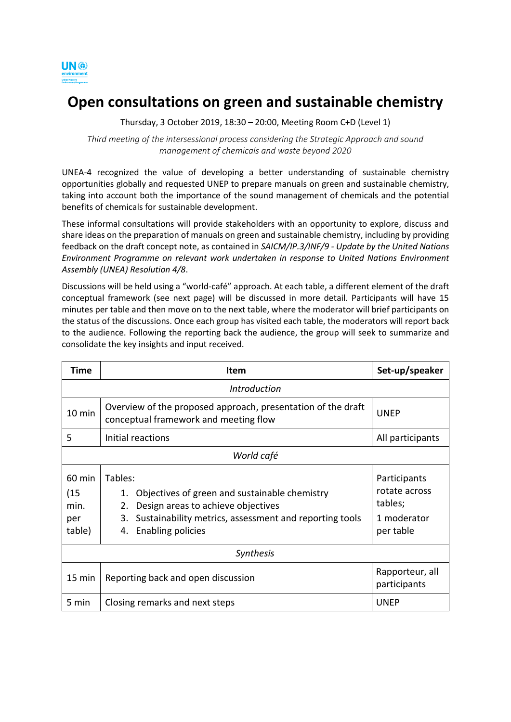

# **Open consultations on green and sustainable chemistry**

Thursday, 3 October 2019, 18:30 – 20:00, Meeting Room C+D (Level 1)

*Third meeting of the intersessional process considering the Strategic Approach and sound management of chemicals and waste beyond 2020*

UNEA-4 recognized the value of developing a better understanding of sustainable chemistry opportunities globally and requested UNEP to prepare manuals on green and sustainable chemistry, taking into account both the importance of the sound management of chemicals and the potential benefits of chemicals for sustainable development.

These informal consultations will provide stakeholders with an opportunity to explore, discuss and share ideas on the preparation of manuals on green and sustainable chemistry, including by providing feedback on the draft concept note, as contained in *SAICM/IP.3/INF/9 - Update by the United Nations Environment Programme on relevant work undertaken in response to United Nations Environment Assembly (UNEA) Resolution 4/8*.

Discussions will be held using a "world-café" approach. At each table, a different element of the draft conceptual framework (see next page) will be discussed in more detail. Participants will have 15 minutes per table and then move on to the next table, where the moderator will brief participants on the status of the discussions. Once each group has visited each table, the moderators will report back to the audience. Following the reporting back the audience, the group will seek to summarize and consolidate the key insights and input received.

| Time                                    | <b>Item</b>                                                                                                                                                                                                  | Set-up/speaker                                                       |
|-----------------------------------------|--------------------------------------------------------------------------------------------------------------------------------------------------------------------------------------------------------------|----------------------------------------------------------------------|
| <i><u><b>Introduction</b></u></i>       |                                                                                                                                                                                                              |                                                                      |
| 10 min                                  | Overview of the proposed approach, presentation of the draft<br>conceptual framework and meeting flow                                                                                                        | <b>UNEP</b>                                                          |
| 5                                       | Initial reactions                                                                                                                                                                                            | All participants                                                     |
| World café                              |                                                                                                                                                                                                              |                                                                      |
| 60 min<br>(15)<br>min.<br>per<br>table) | Tables:<br>Objectives of green and sustainable chemistry<br>1.<br>Design areas to achieve objectives<br>2.<br>Sustainability metrics, assessment and reporting tools<br>3.<br><b>Enabling policies</b><br>4. | Participants<br>rotate across<br>tables;<br>1 moderator<br>per table |
| <b>Synthesis</b>                        |                                                                                                                                                                                                              |                                                                      |
| 15 min                                  | Reporting back and open discussion                                                                                                                                                                           | Rapporteur, all<br>participants                                      |
| 5 min                                   | Closing remarks and next steps                                                                                                                                                                               | <b>UNEP</b>                                                          |